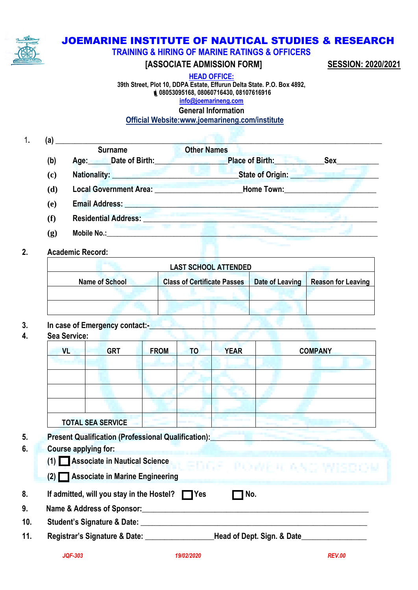

# JOEMARINE INSTITUTE OF NAUTICAL STUDIES & RESEARCH

**TRAINING & HIRING OF MARINE RATINGS & OFFICERS**

# **[ASSOCIATE ADMISSION FORM] SESSION: 2020/2021**

**HEAD OFFICE: 39th Street, Plot 10, DDPA Estate, Effurun Delta State. P.O. Box 4892, 08053095168, 08060716430, 08107616916 [info@joemarineng.com](mailto:info@joemarineng.com) General Information**

 **Official Website:www.joemarineng.com/institute**

| (a) |                                                                                                                                                                                                                                    |                                          |
|-----|------------------------------------------------------------------------------------------------------------------------------------------------------------------------------------------------------------------------------------|------------------------------------------|
|     | <b>Surname</b>                                                                                                                                                                                                                     | <b>Other Names</b>                       |
| (b) | Age: Date of Birth:                                                                                                                                                                                                                | <b>Place of Birth:</b><br>Sex            |
| (c) | <b>Nationality:</b> Nationality:                                                                                                                                                                                                   | <b>State of Origin: State of Origin:</b> |
| (d) | <b>Local Government Area: Contract Contract Contract Contract Contract Contract Contract Contract Contract Contract Contract Contract Contract Contract Contract Contract Contract Contract Contract Contract Contract Contrac</b> | <b>Home Town:</b>                        |
| (e) | <b>Email Address:</b>                                                                                                                                                                                                              |                                          |
| (f) | <b>Residential Address:</b>                                                                                                                                                                                                        |                                          |
| (g) | Mobile No.:                                                                                                                                                                                                                        |                                          |

# **2. Academic Record:**

| <b>LAST SCHOOL ATTENDED</b> |                                    |                 |                           |  |  |  |  |
|-----------------------------|------------------------------------|-----------------|---------------------------|--|--|--|--|
| <b>Name of School</b>       | <b>Class of Certificate Passes</b> | Date of Leaving | <b>Reason for Leaving</b> |  |  |  |  |
|                             |                                    |                 |                           |  |  |  |  |
|                             |                                    |                 |                           |  |  |  |  |

# **3. In case of Emergency contact:-\_\_\_\_\_\_\_\_\_\_\_\_\_\_\_\_\_\_\_\_\_\_\_\_\_\_\_\_\_\_\_\_\_\_\_\_\_\_\_\_\_\_\_\_\_\_\_\_\_\_\_\_\_\_\_\_\_\_\_**

**4. Sea Service:**

| <b>VL</b>                                                                                         | <b>GRT</b> | <b>FROM</b> | <b>TO</b> | <b>YEAR</b>      | <b>COMPANY</b>                                                               |  |  |
|---------------------------------------------------------------------------------------------------|------------|-------------|-----------|------------------|------------------------------------------------------------------------------|--|--|
|                                                                                                   |            |             |           |                  |                                                                              |  |  |
|                                                                                                   |            |             |           |                  |                                                                              |  |  |
|                                                                                                   |            |             |           |                  |                                                                              |  |  |
|                                                                                                   |            |             |           |                  |                                                                              |  |  |
| <b>TOTAL SEA SERVICE</b>                                                                          |            |             |           |                  |                                                                              |  |  |
|                                                                                                   |            |             |           |                  |                                                                              |  |  |
| Present Qualification (Professional Qualification): Present Qualification<br>Course applying for: |            |             |           |                  |                                                                              |  |  |
|                                                                                                   |            |             |           |                  | (1) Associate in Nautical Science (2010) - Property Entry & No. 1991 5 D O M |  |  |
| (2) Associate in Marine Engineering                                                               |            |             |           |                  |                                                                              |  |  |
| If admitted, will you stay in the Hostel? $\Box$ Yes                                              |            |             |           | $\mathsf{T}$ No. |                                                                              |  |  |
| Name & Address of Sponsor:                                                                        |            |             |           |                  |                                                                              |  |  |
| Student's Signature & Date: __________                                                            |            |             |           |                  |                                                                              |  |  |
|                                                                                                   |            |             |           |                  |                                                                              |  |  |